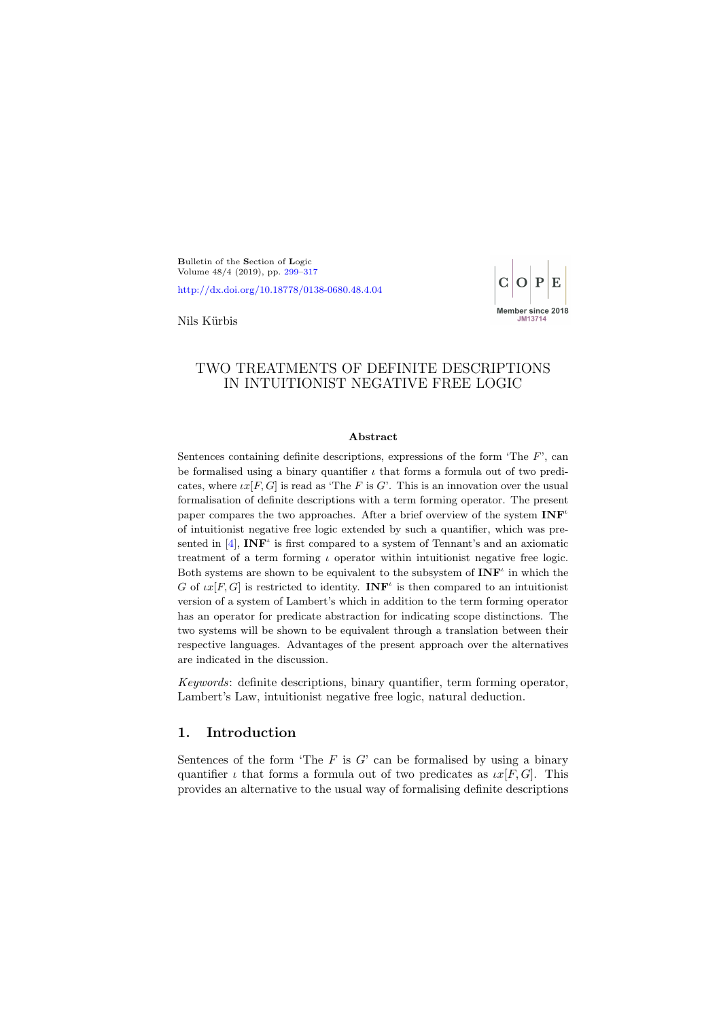<span id="page-0-0"></span>Bulletin of the Section of Logic Volume 48/4 (2019), pp. [299–](#page-0-0)[317](#page-18-0)

<http://dx.doi.org/10.18778/0138-0680.48.4.04>



Nils Kürbis

## TWO TREATMENTS OF DEFINITE DESCRIPTIONS IN INTUITIONIST NEGATIVE FREE LOGIC

#### Abstract

Sentences containing definite descriptions, expressions of the form 'The  $F'$ ', can be formalised using a binary quantifier  $\iota$  that forms a formula out of two predicates, where  $\iota x[F, G]$  is read as 'The F is G'. This is an innovation over the usual formalisation of definite descriptions with a term forming operator. The present paper compares the two approaches. After a brief overview of the system  $\text{INF}^{\iota}$ of intuitionist negative free logic extended by such a quantifier, which was presented in  $[4]$ , INF<sup> $\iota$ </sup> is first compared to a system of Tennant's and an axiomatic treatment of a term forming  $\iota$  operator within intuitionist negative free logic. Both systems are shown to be equivalent to the subsystem of  $\mathbf{INF}^i$  in which the G of  $\iota x[F,G]$  is restricted to identity. **INF**<sup> $\iota$ </sup> is then compared to an intuitionist version of a system of Lambert's which in addition to the term forming operator has an operator for predicate abstraction for indicating scope distinctions. The two systems will be shown to be equivalent through a translation between their respective languages. Advantages of the present approach over the alternatives are indicated in the discussion.

Keywords: definite descriptions, binary quantifier, term forming operator, Lambert's Law, intuitionist negative free logic, natural deduction.

## 1. Introduction

Sentences of the form 'The  $F$  is  $G'$  can be formalised by using a binary quantifier  $\iota$  that forms a formula out of two predicates as  $\iota x[F, G]$ . This provides an alternative to the usual way of formalising definite descriptions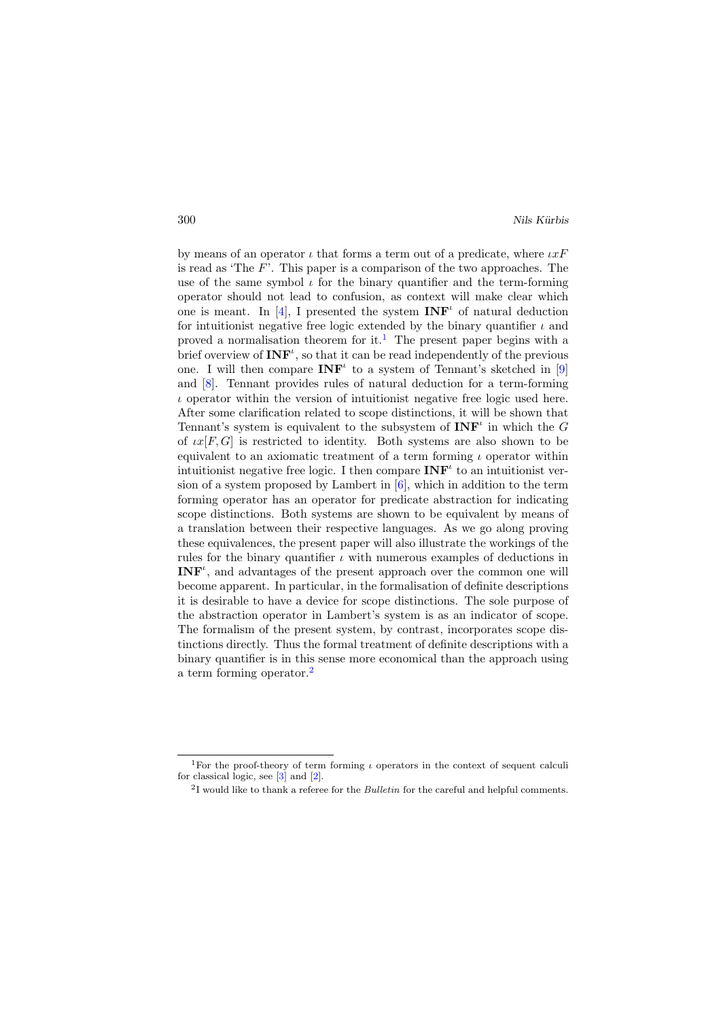by means of an operator  $\iota$  that forms a term out of a predicate, where  $\iota xF$ is read as 'The  $F'$ . This paper is a comparison of the two approaches. The use of the same symbol  $\iota$  for the binary quantifier and the term-forming operator should not lead to confusion, as context will make clear which one is meant. In [\[4\]](#page-18-1), I presented the system  $INF<sup>\iota</sup>$  of natural deduction for intuitionist negative free logic extended by the binary quantifier  $\iota$  and proved a normalisation theorem for it.<sup>[1](#page-1-0)</sup> The present paper begins with a brief overview of  $\mathbf{INF}^{\iota}$ , so that it can be read independently of the previous one. I will then compare  $\mathbf{INF}^t$  to a system of Tennant's sketched in [\[9\]](#page-18-2) and [\[8\]](#page-18-3). Tennant provides rules of natural deduction for a term-forming  $\iota$  operator within the version of intuitionist negative free logic used here. After some clarification related to scope distinctions, it will be shown that Tennant's system is equivalent to the subsystem of  $\mathbf{INF}^{\iota}$  in which the G of  $\iota x[F,G]$  is restricted to identity. Both systems are also shown to be equivalent to an axiomatic treatment of a term forming  $\iota$  operator within intuitionist negative free logic. I then compare  $\text{INF}^{\iota}$  to an intuitionist version of a system proposed by Lambert in  $[6]$ , which in addition to the term forming operator has an operator for predicate abstraction for indicating scope distinctions. Both systems are shown to be equivalent by means of a translation between their respective languages. As we go along proving these equivalences, the present paper will also illustrate the workings of the rules for the binary quantifier  $\iota$  with numerous examples of deductions in **, and advantages of the present approach over the common one will** become apparent. In particular, in the formalisation of definite descriptions it is desirable to have a device for scope distinctions. The sole purpose of the abstraction operator in Lambert's system is as an indicator of scope. The formalism of the present system, by contrast, incorporates scope distinctions directly. Thus the formal treatment of definite descriptions with a binary quantifier is in this sense more economical than the approach using a term forming operator.[2](#page-1-1)

<span id="page-1-0"></span><sup>&</sup>lt;sup>1</sup>For the proof-theory of term forming  $\iota$  operators in the context of sequent calculi for classical logic, see [\[3\]](#page-18-5) and [\[2\]](#page-18-6).

<span id="page-1-1"></span> $2I$  would like to thank a referee for the *Bulletin* for the careful and helpful comments.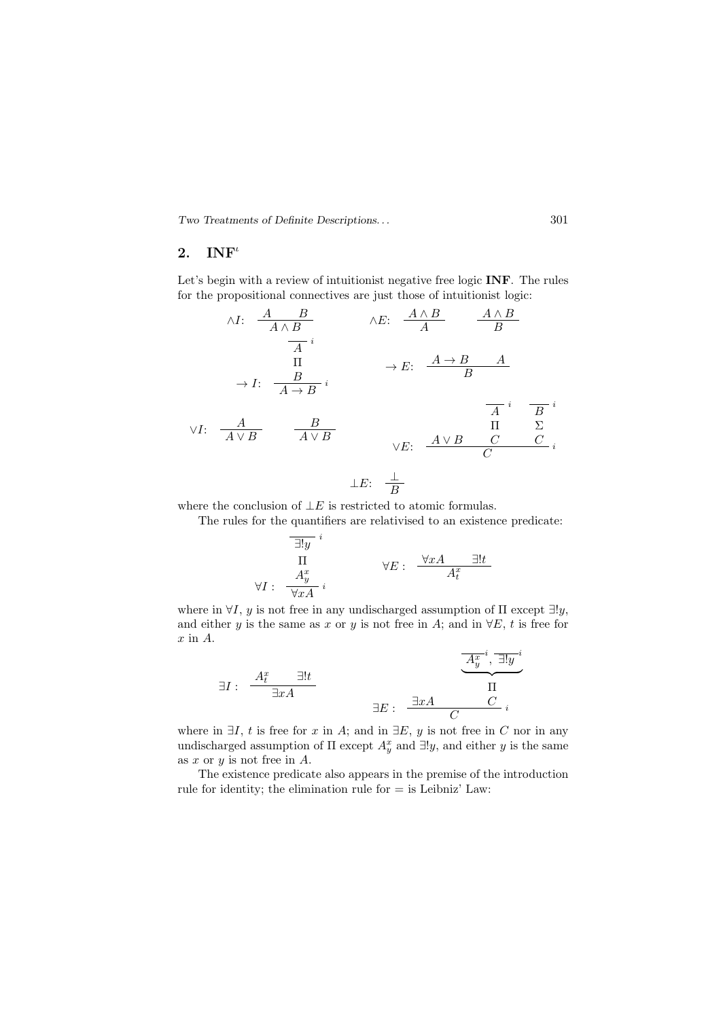#### 2.  $INF<sup>t</sup>$

Let's begin with a review of intuitionist negative free logic **INF**. The rules for the propositional connectives are just those of intuitionist logic:

$$
\begin{array}{cccc}\n\wedge I: & \frac{A}{A \wedge B} & \wedge E: & \frac{A \wedge B}{A} & \frac{A \wedge B}{B} \\
\hline\n\frac{A}{A}i & & & \\
& \Pi & & \\
\rightarrow I: & \frac{B}{A \rightarrow B}i & & \\
& \forall I: & \frac{A}{A \vee B} & \frac{B}{A \vee B} & & \\
& \forall E: & \frac{A \vee B}{C} & \frac{C}{C}i \\
& & & \\
\downarrow E: & \frac{\perp}{B}\n\end{array}
$$

where the conclusion of  $\bot E$  is restricted to atomic formulas.

The rules for the quantifiers are relativised to an existence predicate:

$$
\frac{\exists! y \atop \Pi}{}^{i}
$$
\n
$$
\forall E: \frac{\forall x A \quad \exists! t}{A_t^x}
$$
\n
$$
\forall E: \frac{\forall x A \quad \exists! t}{A_t^x}
$$

where in  $\forall I, y$  is not free in any undischarged assumption of  $\Pi$  except  $\exists !y$ , and either y is the same as x or y is not free in A; and in  $\forall E, t$  is free for  $x$  in  $A$ .

$$
\exists I: \frac{A_t^x}{\exists xA} \qquad \qquad \frac{\overline{A_y^{x}}^i, \overline{\exists!y}^i}{\Pi}
$$

$$
\exists E: \frac{\exists xA \qquad C}{C}i
$$

where in  $\exists I, t$  is free for x in A; and in  $\exists E, y$  is not free in C nor in any undischarged assumption of  $\Pi$  except  $A_y^x$  and  $\exists !y$ , and either y is the same as x or  $y$  is not free in  $A$ .

The existence predicate also appears in the premise of the introduction rule for identity; the elimination rule for  $=$  is Leibniz' Law: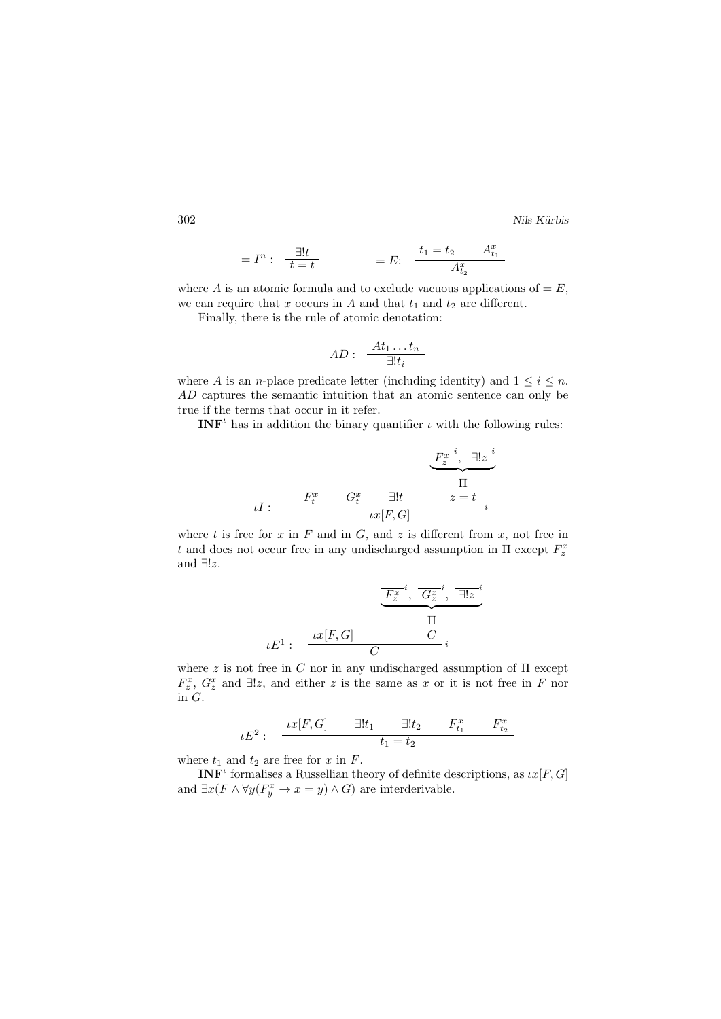$$
=I^{n}: \frac{\exists!t}{t=t} = E: \frac{t_{1} = t_{2} A^{x}_{t_{1}}}{A^{x}_{t_{2}}}
$$

where A is an atomic formula and to exclude vacuous applications of  $=E$ , we can require that x occurs in A and that  $t_1$  and  $t_2$  are different.

Finally, there is the rule of atomic denotation:

$$
AD: \frac{At_1 \dots t_n}{\exists! t_i}
$$

where A is an n-place predicate letter (including identity) and  $1 \leq i \leq n$ . AD captures the semantic intuition that an atomic sentence can only be true if the terms that occur in it refer.

**INF**<sup> $\iota$ </sup> has in addition the binary quantifier  $\iota$  with the following rules:

$$
uI: \qquad \begin{array}{c} \overline{F_z^{x-i}},\ \frac{\overline{\exists!z}^i}{\bot} \\ \overline{\phantom{F_z^{x+i}},\ \frac{\overline{\exists!z}^i}{\bot}} \\ \overline{\phantom{F_z^{x+i}},\ \frac{\overline{\exists!z}^i}{\bot}} \\ \overline{\phantom{F_z^{x+i}},\ \frac{\overline{\exists!z}^i}{\bot}} \\ \overline{\phantom{F_z^{x+i}},\ \frac{\overline{\exists!z}^i}{\bot}} \\ \overline{\phantom{F_z^{x+i}},\ \frac{\overline{\exists!z}^i}{\bot}} \\ \overline{\phantom{F_z^{x+i}},\ \frac{\overline{\exists!z}^i}{\top}} \end{array}
$$

where t is free for x in F and in G, and z is different from x, not free in t and does not occur free in any undischarged assumption in  $\Pi$  except  $F_z^x$ and ∃!z.

$$
\underbrace{F_z^{x^{-i}}, \overline{G_z^{x^{-i}}}, \overline{\exists!z}^i}_{\Pi}
$$
\n
$$
\iota E^1: \underbrace{\iota x[F, G]}_{C} \underbrace{\Pi}_{i}
$$

where z is not free in C nor in any undischarged assumption of  $\Pi$  except  $F_z^x$ ,  $G_z^x$  and  $\exists !z$ , and either z is the same as x or it is not free in F nor in G.

$$
\iota E^2: \frac{\iota x[F,G]}{\xi_1=\pm t_1} \frac{\exists! t_1 \quad \exists! t_2 \quad F_{t_1}^x \quad F_{t_2}^x}{t_1=t_2}
$$

where  $t_1$  and  $t_2$  are free for x in F.

**INF**<sup>*t*</sup> formalises a Russellian theory of definite descriptions, as  $\iota x[F, G]$ and  $\exists x (F \land \forall y (F_y^x \to x = y) \land G)$  are interderivable.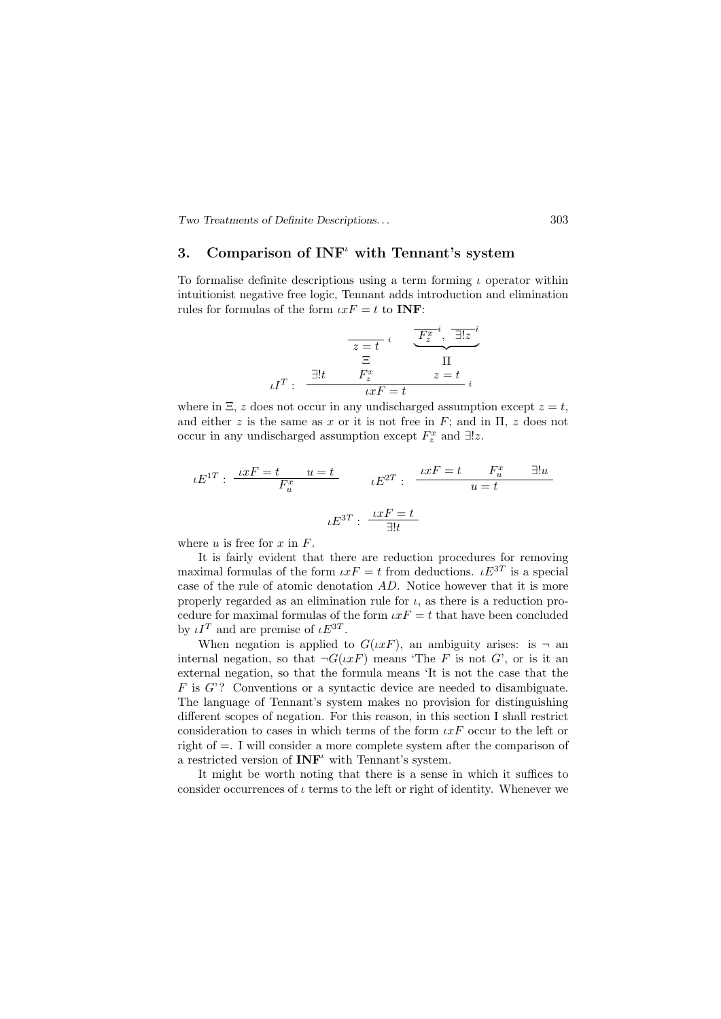## 3. Comparison of  $INF<sup>t</sup>$  with Tennant's system

To formalise definite descriptions using a term forming  $\iota$  operator within intuitionist negative free logic, Tennant adds introduction and elimination rules for formulas of the form  $\iota xF = t$  to **INF**:

$$
\overline{z=t} \, i \quad \overline{\underbrace{F_z^{x}}^{i}}, \overline{\exists!z}^{i}
$$
\n
$$
\overline{z} \quad \overline{\Pi}
$$
\n
$$
\iota I^T : \overline{\underbrace{Hz}^{i}} \quad \overline{x} = t \quad i
$$

where in  $\Xi$ , z does not occur in any undischarged assumption except  $z = t$ , and either z is the same as x or it is not free in F; and in  $\Pi$ , z does not occur in any undischarged assumption except  $F_z^x$  and  $\exists !z$ .

$$
\iota E^{1T}: \frac{\iota x F = t}{F_u^x} u = t
$$

$$
\iota E^{2T}: \frac{\iota x F = t}{u = t} F_u^x \quad \exists! u
$$

$$
\iota E^{3T}: \frac{\iota x F = t}{\exists! t}
$$

where u is free for x in  $F$ .

It is fairly evident that there are reduction procedures for removing maximal formulas of the form  $\iota x F = t$  from deductions.  $\iota E^{3T}$  is a special case of the rule of atomic denotation AD. Notice however that it is more properly regarded as an elimination rule for  $\iota$ , as there is a reduction procedure for maximal formulas of the form  $\iota xF = t$  that have been concluded by  $\iota I^T$  and are premise of  $\iota E^{3T}$ .

When negation is applied to  $G(\iota x F)$ , an ambiguity arises: is  $\neg$  an internal negation, so that  $\neg G(\iota x F)$  means 'The F is not G', or is it an external negation, so that the formula means 'It is not the case that the  $F$  is  $G$ ? Conventions or a syntactic device are needed to disambiguate. The language of Tennant's system makes no provision for distinguishing different scopes of negation. For this reason, in this section I shall restrict consideration to cases in which terms of the form  $\iota x F$  occur to the left or right of =. I will consider a more complete system after the comparison of a restricted version of  $\mathbf{INF}^{\iota}$  with Tennant's system.

It might be worth noting that there is a sense in which it suffices to consider occurrences of  $\iota$  terms to the left or right of identity. Whenever we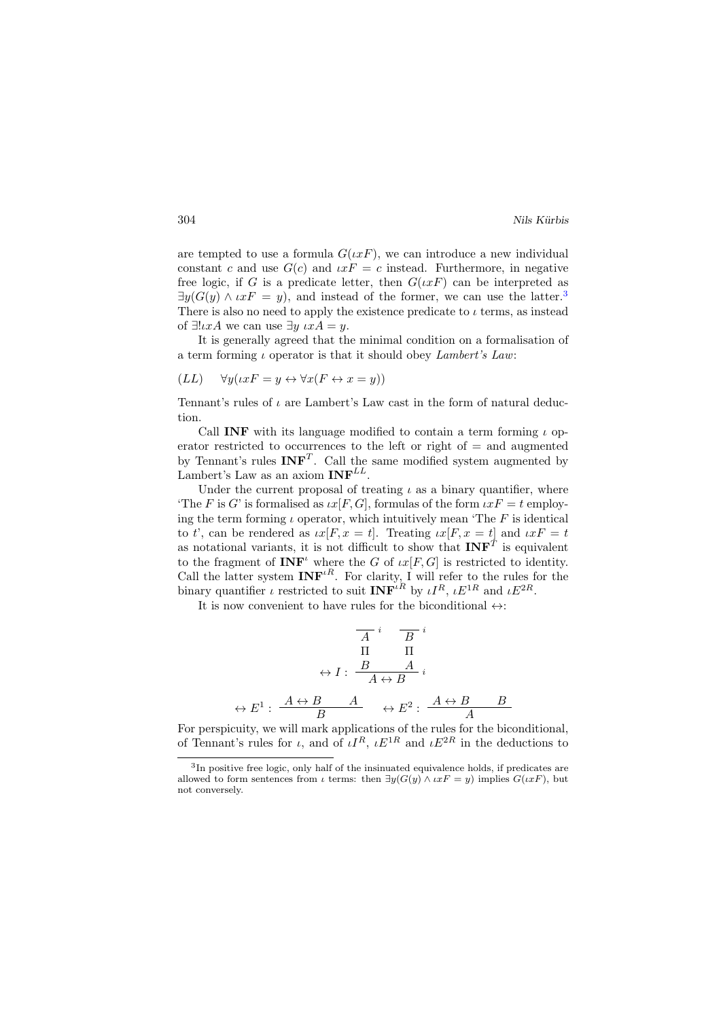are tempted to use a formula  $G(\iota x F)$ , we can introduce a new individual constant c and use  $G(c)$  and  $\iota xF = c$  instead. Furthermore, in negative free logic, if G is a predicate letter, then  $G(\iota x F)$  can be interpreted as  $\exists y(G(y) \wedge \iota x F = y)$ , and instead of the former, we can use the latter.<sup>[3](#page-5-0)</sup> There is also no need to apply the existence predicate to  $\iota$  terms, as instead of  $\exists !\iota xA$  we can use  $\exists y \iota xA = y$ .

It is generally agreed that the minimal condition on a formalisation of a term forming  $\iota$  operator is that it should obey *Lambert's Law*:

$$
(LL) \quad \forall y(\iota x F = y \leftrightarrow \forall x (F \leftrightarrow x = y))
$$

Tennant's rules of  $\iota$  are Lambert's Law cast in the form of natural deduction.

Call **INF** with its language modified to contain a term forming  $\iota$  operator restricted to occurrences to the left or right of = and augmented by Tennant's rules  $INF<sup>T</sup>$ . Call the same modified system augmented by Lambert's Law as an axiom  $INF^{LL}$ .

Under the current proposal of treating  $\iota$  as a binary quantifier, where 'The F is G' is formalised as  $\iota x[F,G]$ , formulas of the form  $\iota xF = t$  employing the term forming  $\iota$  operator, which intuitively mean 'The F is identical to t', can be rendered as  $\iota x[F, x = t]$ . Treating  $\iota x[F, x = t]$  and  $\iota xF = t$ as notational variants, it is not difficult to show that  $\text{INF}^T$  is equivalent to the fragment of  $\mathbf{INF}^{\iota}$  where the G of  $\iota x[F,G]$  is restricted to identity. Call the latter system  $INF<sup>tR</sup>$ . For clarity, I will refer to the rules for the binary quantifier *ι* restricted to suit  $INF<sup>iR</sup>$  by  $\iota I^R$ ,  $\iota E^{1R}$  and  $\iota E^{2R}$ .

It is now convenient to have rules for the biconditional  $\leftrightarrow$ :

$$
\begin{array}{cc}\n\overline{A} & \overline{B} & \overline{i} \\
\overline{\Pi} & \overline{\Pi} & \overline{\Pi} \\
\overline{\Pi} & \overline{\Pi} & \overline{i} \\
\overline{A} \leftrightarrow \overline{B} & \overline{i} \\
\overline{B} & \overline{A} \leftrightarrow \overline{B} & \overline{B} \\
\overline{B} & \overline{B} & \overline{B} & \overline{A} \\
\end{array}
$$

For perspicuity, we will mark applications of the rules for the biconditional, of Tennant's rules for  $\iota$ , and of  $\iota I^R$ ,  $\iota E^{1R}$  and  $\iota E^{2R}$  in the deductions to

<span id="page-5-0"></span><sup>&</sup>lt;sup>3</sup>In positive free logic, only half of the insinuated equivalence holds, if predicates are allowed to form sentences from  $\iota$  terms: then  $\exists y(G(y) \land \iota x F = y)$  implies  $G(\iota x F)$ , but not conversely.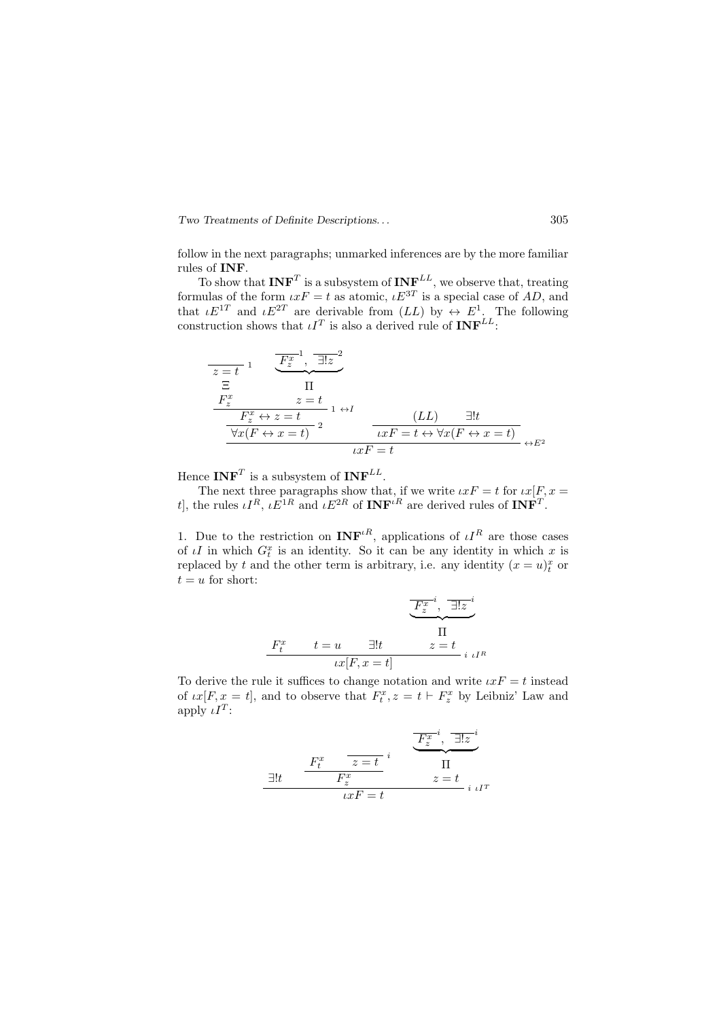follow in the next paragraphs; unmarked inferences are by the more familiar rules of INF.

To show that  $\text{INF}^T$  is a subsystem of  $\text{INF}^{LL}$ , we observe that, treating formulas of the form  $\iota x F = t$  as atomic,  $\iota E^{3T}$  is a special case of AD, and that  $\iota E^{1T}$  and  $\iota E^{2T}$  are derivable from  $(LL)$  by  $\leftrightarrow E^1$ . The following construction shows that  $\iota I^T$  is also a derived rule of  $\mathbf{INF}^{LL}$ :

$$
\frac{z=t}{z}
$$
\n
$$
\frac{F_z^x}{\Xi} \qquad \frac{\overline{F_z^x}}{\overline{F_z^x} \leftrightarrow z=t} \qquad 1 \leftrightarrow I
$$
\n
$$
\frac{F_z^x}{\overline{F_z^x} \leftrightarrow z=t} \qquad 1 \leftrightarrow I
$$
\n
$$
\frac{L}{L} \qquad \frac{L}{L} \qquad \frac{L}{L} \qquad \frac{L}{L} \qquad \frac{L}{L} \qquad \frac{L}{L} \qquad \frac{L}{L} \qquad \frac{L}{L} \qquad \frac{L}{L} \qquad \frac{L}{L} \qquad \frac{L}{L} \qquad \frac{L}{L} \qquad \frac{L}{L} \qquad \frac{L}{L} \qquad \frac{L}{L} \qquad \frac{L}{L} \qquad \frac{L}{L} \qquad \frac{L}{L} \qquad \frac{L}{L} \qquad \frac{L}{L} \qquad \frac{L}{L} \qquad \frac{L}{L} \qquad \frac{L}{L} \qquad \frac{L}{L} \qquad \frac{L}{L} \qquad \frac{L}{L} \qquad \frac{L}{L} \qquad \frac{L}{L} \qquad \frac{L}{L} \qquad \frac{L}{L} \qquad \frac{L}{L} \qquad \frac{L}{L} \qquad \frac{L}{L} \qquad \frac{L}{L} \qquad \frac{L}{L} \qquad \frac{L}{L} \qquad \frac{L}{L} \qquad \frac{L}{L} \qquad \frac{L}{L} \qquad \frac{L}{L} \qquad \frac{L}{L} \qquad \frac{L}{L} \qquad \frac{L}{L} \qquad \frac{L}{L} \qquad \frac{L}{L} \qquad \frac{L}{L} \qquad \frac{L}{L} \qquad \frac{L}{L} \qquad \frac{L}{L} \qquad \frac{L}{L} \qquad \frac{L}{L} \qquad \frac{L}{L} \qquad \frac{L}{L} \qquad \frac{L}{L} \qquad \frac{L}{L} \qquad \frac{L}{L} \qquad \frac{L}{L} \qquad \frac{L}{L} \qquad \frac{L}{L} \qquad \frac{L}{L} \qquad \frac{L}{L} \qquad \frac{L}{L} \qquad \frac{L}{L} \qquad \frac{L}{L} \qquad \frac{L}{L} \q
$$

Hence  $\mathbf{INF}^T$  is a subsystem of  $\mathbf{INF}^{LL}$ .

The next three paragraphs show that, if we write  $\iota xF = t$  for  $\iota x[F, x =$ t, the rules  $\iota I^R$ ,  $\iota E^{1R}$  and  $\iota E^{2R}$  of  $\text{INF}^{\iota R}$  are derived rules of  $\text{INF}^T$ .

1. Due to the restriction on  $\text{INF}^{\iota R}$ , applications of  $\iota I^R$  are those cases of  $\iota I$  in which  $G_t^x$  is an identity. So it can be any identity in which x is replaced by t and the other term is arbitrary, i.e. any identity  $(x = u)_t^x$  or  $t = u$  for short:

$$
\frac{F_z^{x}}{F_z^{x}}, \frac{1}{\exists!z}^i
$$
\n
$$
\frac{\Pi}{\Pi}
$$
\n
$$
tx[F, x = t]
$$
\n
$$
i \mu R
$$

To derive the rule it suffices to change notation and write  $\iota xF = t$  instead of  $\iota x[F, x = t]$ , and to observe that  $F_t^x, z = t \vdash F_x^x$  by Leibniz' Law and apply  $\iota I^T$ :

$$
\frac{1}{\exists!t} \quad \frac{F_t^x}{F_z^x} \quad \frac{z=t}{t} \quad \frac{F_z^{x-i}}{t} \quad \frac{\overline{F_z^{x-i}}}{t} \quad \frac{\overline{\text{II}}}{t} \quad \frac{\overline{F_z^{x-i}}}{t} \quad \frac{\overline{t}}{t} \quad \frac{\overline{t}}{t} \quad \frac{\overline{t}}{t} \quad \frac{\overline{t}}{t} \quad \frac{\overline{t}}{t} \quad \frac{\overline{t}}{t} \quad \frac{\overline{t}}{t} \quad \frac{\overline{t}}{t} \quad \frac{\overline{t}}{t} \quad \frac{\overline{t}}{t} \quad \frac{\overline{t}}{t} \quad \frac{\overline{t}}{t} \quad \frac{\overline{t}}{t} \quad \frac{\overline{t}}{t} \quad \frac{\overline{t}}{t} \quad \frac{\overline{t}}{t} \quad \frac{\overline{t}}{t} \quad \frac{\overline{t}}{t} \quad \frac{\overline{t}}{t} \quad \frac{\overline{t}}{t} \quad \frac{\overline{t}}{t} \quad \frac{\overline{t}}{t} \quad \frac{\overline{t}}{t} \quad \frac{\overline{t}}{t} \quad \frac{\overline{t}}{t} \quad \frac{\overline{t}}{t} \quad \frac{\overline{t}}{t} \quad \frac{\overline{t}}{t} \quad \frac{\overline{t}}{t} \quad \frac{\overline{t}}{t} \quad \frac{\overline{t}}{t} \quad \frac{\overline{t}}{t} \quad \frac{\overline{t}}{t} \quad \frac{\overline{t}}{t} \quad \frac{\overline{t}}{t} \quad \frac{\overline{t}}{t} \quad \frac{\overline{t}}{t} \quad \frac{\overline{t}}{t} \quad \frac{\overline{t}}{t} \quad \frac{\overline{t}}{t} \quad \frac{\overline{t}}{t} \quad \frac{\overline{t}}{t} \quad \frac{\overline{t}}{t} \quad \frac{\overline{t}}{t} \quad \frac{\overline{t}}{t} \quad \frac{\overline{t}}{t} \quad \frac{\overline{t}}{t} \quad \frac{\overline{t}}{t} \quad \frac{\overline{t}}{t} \quad \frac{\overline{t}}{t} \quad \frac{\overline{t}}{t
$$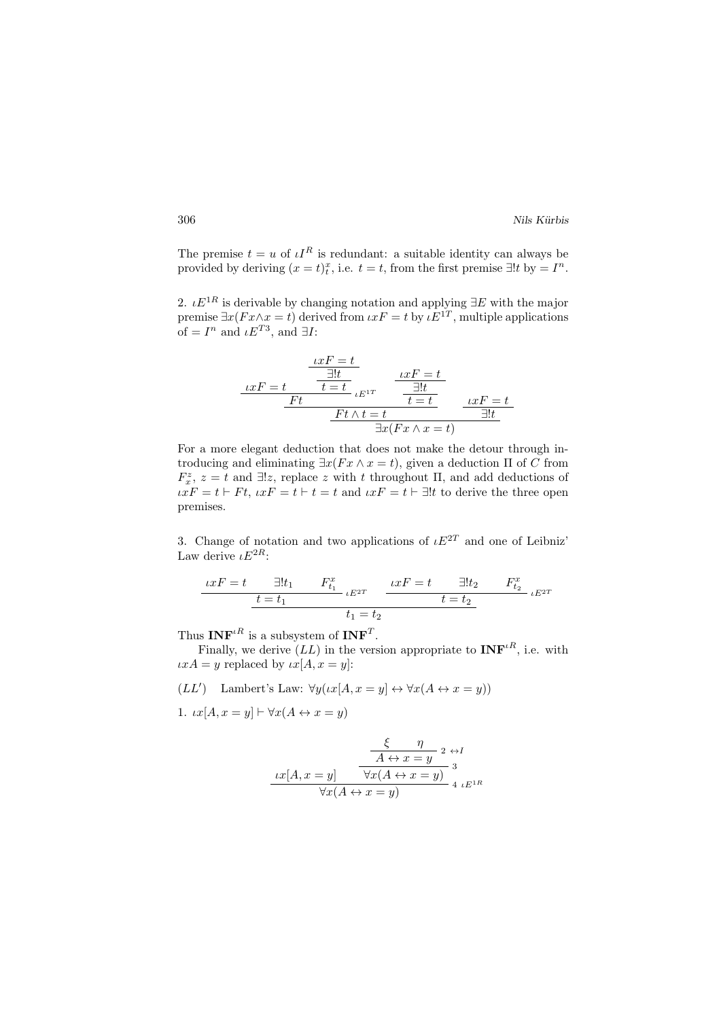The premise  $t = u$  of  $l^R$  is redundant: a suitable identity can always be provided by deriving  $(x = t)_t^x$ , i.e.  $t = t$ , from the first premise  $\exists!t$  by  $= I^n$ .

2.  $\iota E^{1R}$  is derivable by changing notation and applying  $\exists E$  with the major premise  $\exists x (Fx \wedge x = t)$  derived from  $\iota x F = t$  by  $\iota E^{1T}$ , multiple applications of =  $I^n$  and  $\iota E^{T3}$ , and  $\exists I$ :

$$
\frac{ixF = t}{\frac{1!t}{\frac{1!t}{\frac{1}{t}}} \cdot E^{1T}} \cdot \frac{ixF = t}{\frac{1!t}{\frac{1}{t} \frac{1}{\frac{1}{t}}} \cdot \frac{1}{\frac{1}{t} \frac{1}{t}}} \cdot \frac{1}{\frac{1}{t} \frac{1}{\frac{1}{t}} \frac{1}{\frac{1}{t}} \frac{1}{\frac{1}{t}} \frac{1}{\frac{1}{t}} \frac{1}{\frac{1}{t}} \frac{1}{\frac{1}{t}} \frac{1}{\frac{1}{t}} \frac{1}{\frac{1}{t}} \frac{1}{\frac{1}{t}} \frac{1}{\frac{1}{t}} \frac{1}{\frac{1}{t}} \frac{1}{\frac{1}{t}} \frac{1}{\frac{1}{t}} \frac{1}{\frac{1}{t}} \frac{1}{\frac{1}{t}} \frac{1}{\frac{1}{t}} \frac{1}{\frac{1}{t}} \frac{1}{\frac{1}{t}} \frac{1}{\frac{1}{t}} \frac{1}{\frac{1}{t}} \frac{1}{\frac{1}{t}} \frac{1}{\frac{1}{t}} \frac{1}{\frac{1}{t}} \frac{1}{\frac{1}{t}} \frac{1}{\frac{1}{t}} \frac{1}{\frac{1}{t}} \frac{1}{\frac{1}{t}} \frac{1}{\frac{1}{t}} \frac{1}{\frac{1}{t}} \frac{1}{\frac{1}{t}} \frac{1}{\frac{1}{t}} \frac{1}{\frac{1}{t}} \frac{1}{\frac{1}{t}} \frac{1}{\frac{1}{t}} \frac{1}{\frac{1}{t}} \frac{1}{\frac{1}{t}} \frac{1}{\frac{1}{t}} \frac{1}{\frac{1}{t}} \frac{1}{\frac{1}{t}} \frac{1}{\frac{1}{t}} \frac{1}{\frac{1}{t}} \frac{1}{\frac{1}{t}} \frac{1}{\frac{1}{t}} \frac{1}{\frac{1}{t}} \frac{1}{\frac{1}{t}} \frac{1}{\frac{1}{t}} \frac{1}{\frac{1}{t}} \frac{1}{\frac{1}{t}} \frac{1}{\frac{1}{t}} \frac{1}{\frac{1}{t}} \frac{1}{\frac{1}{t}} \frac{1}{\frac{1}{t}} \frac{1}{\frac{1}{t}} \frac{1}{\frac{1}{t}} \frac{1}{
$$

For a more elegant deduction that does not make the detour through introducing and eliminating  $\exists x(Fx \land x = t)$ , given a deduction  $\Pi$  of C from  $F_x^z$ ,  $z = t$  and  $\exists !z$ , replace z with t throughout  $\Pi$ , and add deductions of  $\iota xF = t \vdash Ft$ ,  $\iota xF = t \vdash t = t$  and  $\iota xF = t \vdash \exists !t$  to derive the three open premises.

3. Change of notation and two applications of  $E^{2T}$  and one of Leibniz' Law derive  $LE^{2R}$ .

$$
\frac{ixF = t \quad \exists! t_1 \quad F_{t_1}^x}{t = t_1} \cdot E^{2T} \quad \frac{ixF = t \quad \exists! t_2 \quad F_{t_2}^x}{t = t_2} \cdot E^{2T}
$$

$$
t_1 = t_2
$$

Thus  $\mathbf{INF}^{tR}$  is a subsystem of  $\mathbf{INF}^T$ .

Finally, we derive  $(LL)$  in the version appropriate to  $\text{INF}^{\iota R}$ , i.e. with  $\iota xA = y$  replaced by  $\iota x[A, x = y]$ :

 $(LL')$  Lambert's Law:  $\forall y(\iota x[A, x = y] \leftrightarrow \forall x(A \leftrightarrow x = y))$ 

1.  $\iota x[A, x = y] \vdash \forall x(A \leftrightarrow x = y)$ 

$$
\frac{\xi - \eta}{A \leftrightarrow x = y} \xrightarrow{2 \leftrightarrow I} x[A, x = y] \frac{\forall x (A \leftrightarrow x = y)}{\forall x (A \leftrightarrow x = y)} \xrightarrow{3} 4 \iota E^{1R}
$$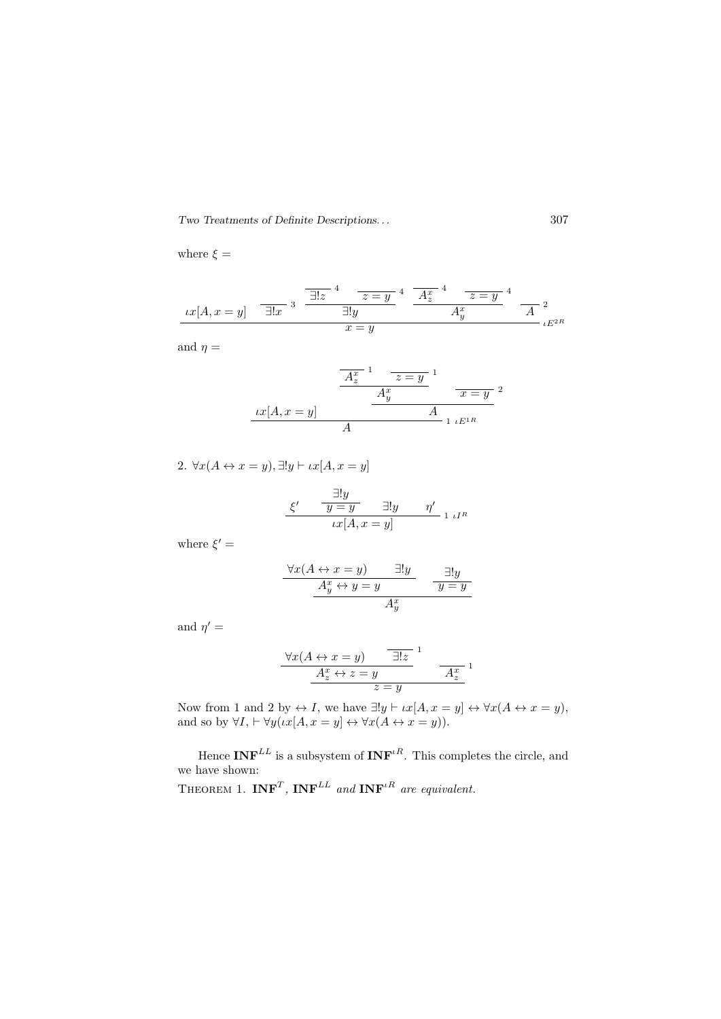where  $\xi =$ 

$$
\underbrace{xx[A,x=y]}_{x=y} \quad \overline{\exists!x}^3 \quad \overline{\underline{\exists!y}^4 \quad z=y}^4 \quad \overline{A_z^x}^4 \quad \overline{z=y}^4 \quad \overline{A_z^x}^2
$$
\n
$$
\underbrace{Ax}{A_y^x}^2 \quad \overline{A}^2_{\iota E^{2R}}
$$

and  $\eta =$ 

$$
\frac{A_z^x}{A_z^x} \frac{1}{z=y} \frac{1}{x=y^2}
$$

$$
\frac{A_y^x}{A} \frac{x=y}{1 \cdot E^{1R}}
$$

2.  $\forall x (A \leftrightarrow x = y), \exists ! y \vdash \iota x [A, x = y]$ 

$$
\frac{\xi'}{\xi} = \frac{\exists! y}{y = y} \quad \exists! y \quad \eta' \quad \text{if } \xi \in \mathbb{R}^n
$$

$$
tx[A, x = y] \quad \text{if } \xi \in \mathbb{R}^n
$$

where  $\xi' =$ 

$$
\frac{\forall x (A \leftrightarrow x = y) \qquad \exists! y \qquad \qquad \frac{\exists! y}{y = y}
$$

$$
\frac{A_y^x \leftrightarrow y = y \qquad \qquad y = y}{A_y^x}
$$

and  $\eta' =$ 

$$
\frac{\forall x (A \leftrightarrow x = y) \qquad \boxed{\exists! z} \qquad 1}{\frac{A_z^x \leftrightarrow z = y}{z = y} \qquad \frac{A_z^x}{A_z^x}} \qquad \frac{1}{\frac{A_z^x}{A_z^x}} = \frac{1}{\frac{A_z^x}{A_z^x}}
$$

Now from 1 and 2 by  $\leftrightarrow I$ , we have  $\exists !y \vdash \iota x[A, x = y] \leftrightarrow \forall x(A \leftrightarrow x = y)$ , and so by  $\forall I, \vdash \forall y (\iota x [A, x = y] \leftrightarrow \forall x (A \leftrightarrow x = y)).$ 

Hence  $\text{INF}^{LL}$  is a subsystem of  $\text{INF}^{LR}$ . This completes the circle, and we have shown:

THEOREM 1.  $INF<sup>T</sup>$ ,  $INF<sup>LL</sup>$  and  $INF<sup>tR</sup>$  are equivalent.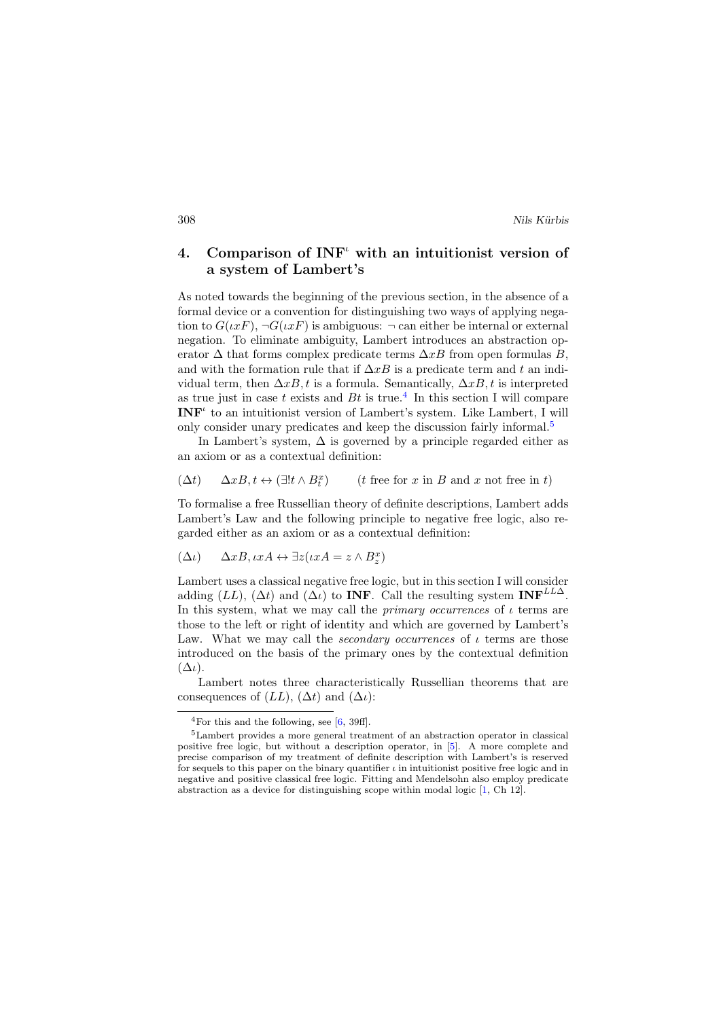# 4. Comparison of  $INF<sup>u</sup>$  with an intuitionist version of a system of Lambert's

As noted towards the beginning of the previous section, in the absence of a formal device or a convention for distinguishing two ways of applying negation to  $G(\iota x F)$ ,  $\neg G(\iota x F)$  is ambiguous:  $\neg$  can either be internal or external negation. To eliminate ambiguity, Lambert introduces an abstraction operator  $\Delta$  that forms complex predicate terms  $\Delta xB$  from open formulas B, and with the formation rule that if  $\Delta xB$  is a predicate term and t an individual term, then  $\Delta xB$ , t is a formula. Semantically,  $\Delta xB$ , t is interpreted as true just in case t exists and  $Bt$  is true.<sup>[4](#page-9-0)</sup> In this section I will compare  **to an intuitionist version of Lambert's system. Like Lambert, I will** only consider unary predicates and keep the discussion fairly informal.<sup>[5](#page-9-1)</sup>

In Lambert's system,  $\Delta$  is governed by a principle regarded either as an axiom or as a contextual definition:

$$
(\Delta t)\qquad \Delta xB, t \leftrightarrow (\exists! t\wedge B_t^x)\qquad \ \ (t \text{ free for $x$ in $B$ and $x$ not free in $t$})
$$

To formalise a free Russellian theory of definite descriptions, Lambert adds Lambert's Law and the following principle to negative free logic, also regarded either as an axiom or as a contextual definition:

$$
(\Delta \iota) \quad \Delta x B, \iota x A \leftrightarrow \exists z (\iota x A = z \wedge B_z^x)
$$

Lambert uses a classical negative free logic, but in this section I will consider adding (LL), ( $\Delta t$ ) and ( $\Delta \iota$ ) to **INF**. Call the resulting system **INF**<sup>LL $\Delta$ </sup>. In this system, what we may call the *primary occurrences* of  $\iota$  terms are those to the left or right of identity and which are governed by Lambert's Law. What we may call the *secondary occurrences* of  $\iota$  terms are those introduced on the basis of the primary ones by the contextual definition  $(\Delta \iota)$ .

Lambert notes three characteristically Russellian theorems that are consequences of  $(LL)$ ,  $(\Delta t)$  and  $(\Delta t)$ :

<span id="page-9-1"></span><span id="page-9-0"></span><sup>&</sup>lt;sup>4</sup>For this and the following, see  $[6, 39f]$  $[6, 39f]$ .

<sup>5</sup>Lambert provides a more general treatment of an abstraction operator in classical positive free logic, but without a description operator, in [\[5\]](#page-18-7). A more complete and precise comparison of my treatment of definite description with Lambert's is reserved for sequels to this paper on the binary quantifier  $\iota$  in intuitionist positive free logic and in negative and positive classical free logic. Fitting and Mendelsohn also employ predicate abstraction as a device for distinguishing scope within modal logic [\[1,](#page-18-8) Ch 12].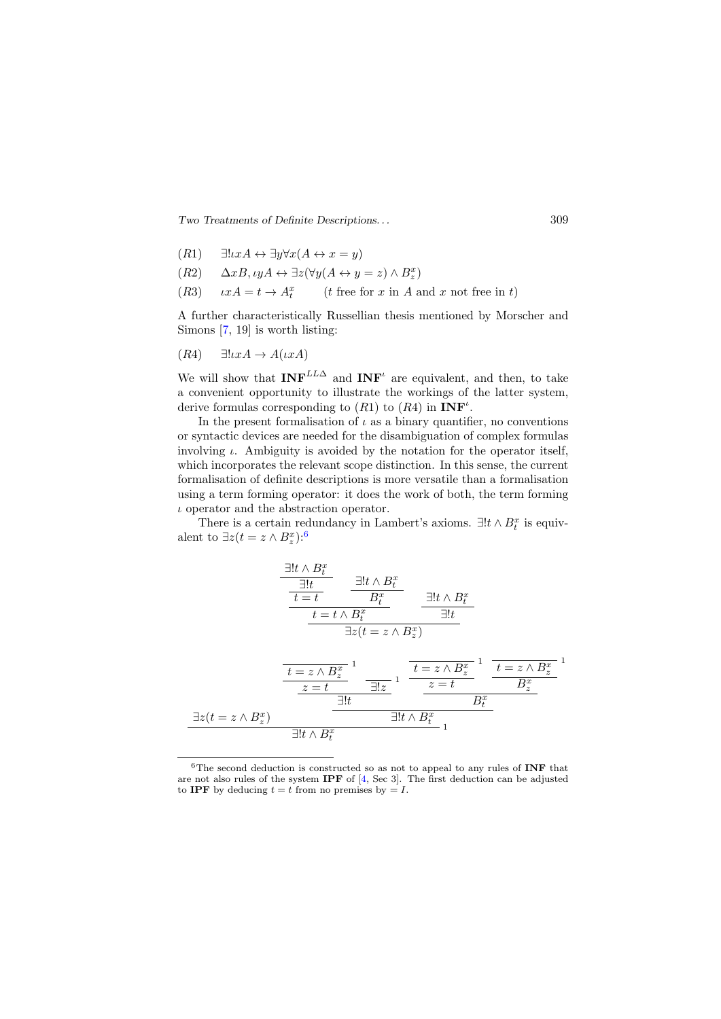Two Treatments of Definite Descriptions. . . 309

- $(R1) \quad \exists! \iota x A \leftrightarrow \exists y \forall x (A \leftrightarrow x = y)$
- $(R2) \quad \Delta xB, \iota yA \leftrightarrow \exists z (\forall y (A \leftrightarrow y = z) \land B_z^x)$
- (R3)  $\iota xA = t \to A_t^x$  (*t* free for *x* in *A* and *x* not free in *t*)

A further characteristically Russellian thesis mentioned by Morscher and Simons [\[7,](#page-18-9) 19] is worth listing:

$$
(R4) \quad \exists ! \iota x A \to A(\iota x A)
$$

We will show that  $INF^{LL\Delta}$  and  $INF^{\iota}$  are equivalent, and then, to take a convenient opportunity to illustrate the workings of the latter system, derive formulas corresponding to  $(R1)$  to  $(R4)$  in  $\text{INF}^{\iota}$ .

In the present formalisation of  $\iota$  as a binary quantifier, no conventions or syntactic devices are needed for the disambiguation of complex formulas involving  $\iota$ . Ambiguity is avoided by the notation for the operator itself, which incorporates the relevant scope distinction. In this sense, the current formalisation of definite descriptions is more versatile than a formalisation using a term forming operator: it does the work of both, the term forming  $\iota$  operator and the abstraction operator.

There is a certain redundancy in Lambert's axioms.  $\exists ! t \wedge B_t^x$  is equivalent to  $\exists z(t=z \wedge B_z^x)$ :<sup>[6](#page-10-0)</sup>

$$
\frac{\exists! t \land B_t^x}{\frac{t}{t} = t} \qquad \frac{\exists! t \land B_t^x}{B_t^x} \qquad \frac{\exists! t \land B_t^x}{\exists! t}
$$
\n
$$
\frac{t = t \land B_t^x}{\frac{t}{t} = t \land B_t^x} \qquad \frac{\exists! t \land B_t^x}{\exists! t}
$$
\n
$$
\frac{t = z \land B_z^x}{\frac{z = t}{\frac{t}{t} + t} \quad \frac{t}{t}} \qquad \frac{t = z \land B_z^x}{\frac{z = t}{\frac{t}{t} + t} \quad \frac{t}{t}} \qquad \frac{t}{t} = z \land B_z^x}{B_z^x}
$$
\n
$$
\frac{\exists! t \land B_t^x}{\frac{t}{t} + t \land B_t^x} \qquad \frac{t}{t} = t \land B_t^x}{\frac{t}{t} + t \land B_t^x} \qquad \frac{t}{t} = t \land B_t^x}
$$

<span id="page-10-0"></span> $6$ The second deduction is constructed so as not to appeal to any rules of INF that are not also rules of the system IPF of [\[4,](#page-18-1) Sec 3]. The first deduction can be adjusted to IPF by deducing  $t = t$  from no premises by  $= I$ .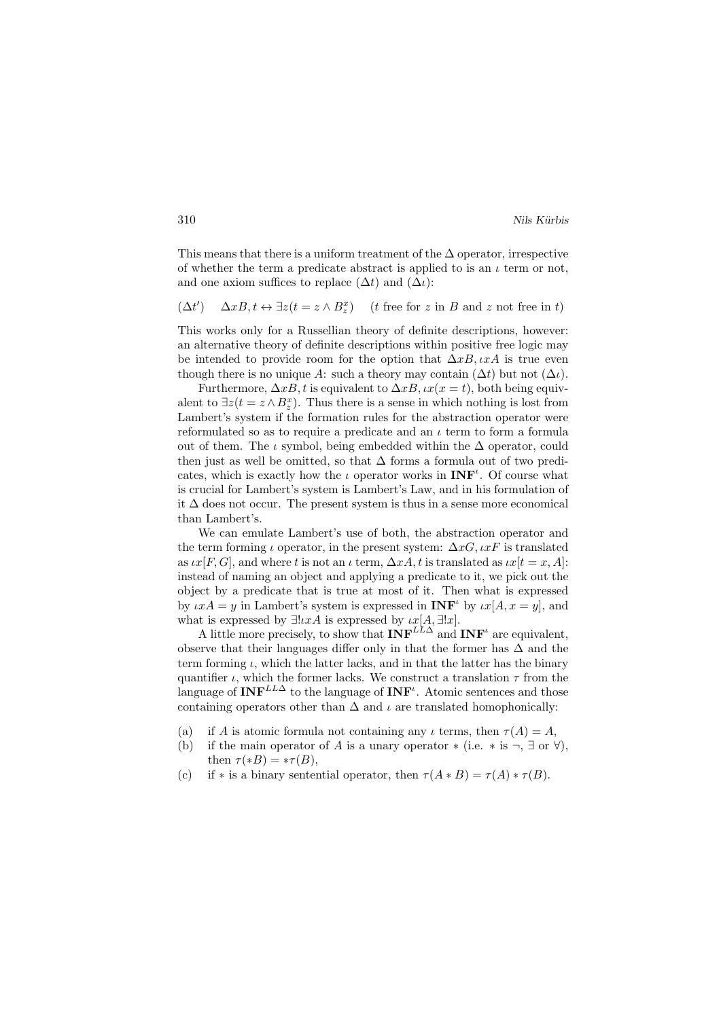This means that there is a uniform treatment of the  $\Delta$  operator, irrespective of whether the term a predicate abstract is applied to is an  $\iota$  term or not, and one axiom suffices to replace  $(\Delta t)$  and  $(\Delta t)$ :

 $(\Delta t'$ )  $\Delta x B, t \leftrightarrow \exists z (t = z \wedge B_z^x)$  (*t* free for z in B and z not free in t)

This works only for a Russellian theory of definite descriptions, however: an alternative theory of definite descriptions within positive free logic may be intended to provide room for the option that  $\Delta xB, \iota xA$  is true even though there is no unique A: such a theory may contain  $(\Delta t)$  but not  $(\Delta t)$ .

Furthermore,  $\Delta xB$ , t is equivalent to  $\Delta xB$ ,  $\iota x(x = t)$ , both being equivalent to  $\exists z (t = z \wedge B_z^x)$ . Thus there is a sense in which nothing is lost from Lambert's system if the formation rules for the abstraction operator were reformulated so as to require a predicate and an  $\iota$  term to form a formula out of them. The  $\iota$  symbol, being embedded within the  $\Delta$  operator, could then just as well be omitted, so that  $\Delta$  forms a formula out of two predicates, which is exactly how the  $\iota$  operator works in  $\mathbf{INF}^{\iota}$ . Of course what is crucial for Lambert's system is Lambert's Law, and in his formulation of it ∆ does not occur. The present system is thus in a sense more economical than Lambert's.

We can emulate Lambert's use of both, the abstraction operator and the term forming  $\iota$  operator, in the present system:  $\Delta xG, \iota xF$  is translated as  $\iota x[F,G]$ , and where t is not an  $\iota$  term,  $\Delta xA$ , t is translated as  $\iota x[t = x,A]$ : instead of naming an object and applying a predicate to it, we pick out the object by a predicate that is true at most of it. Then what is expressed by  $\iota xA = y$  in Lambert's system is expressed in  $\mathbf{INF}^{\iota}$  by  $\iota x[A, x = y]$ , and what is expressed by  $\exists l x A$  is expressed by  $\iota x[A, \exists ! x]$ .

A little more precisely, to show that  $\text{INF}^{LL\Delta}$  and  $\text{INF}^{\iota}$  are equivalent, observe that their languages differ only in that the former has  $\Delta$  and the term forming  $\iota$ , which the latter lacks, and in that the latter has the binary quantifier  $\iota$ , which the former lacks. We construct a translation  $\tau$  from the language of  $\text{INF}^{LL\Delta}$  to the language of  $\text{INF}^{\iota}$ . Atomic sentences and those containing operators other than  $\Delta$  and  $\iota$  are translated homophonically:

- (a) if A is atomic formula not containing any  $\iota$  terms, then  $\tau(A) = A$ ,
- (b) if the main operator of A is a unary operator  $*(i.e. * is \neg, \exists \text{ or } \forall)$ , then  $\tau (*B) = * \tau(B)$ ,
- (c) if \* is a binary sentential operator, then  $\tau(A*B) = \tau(A)*\tau(B)$ .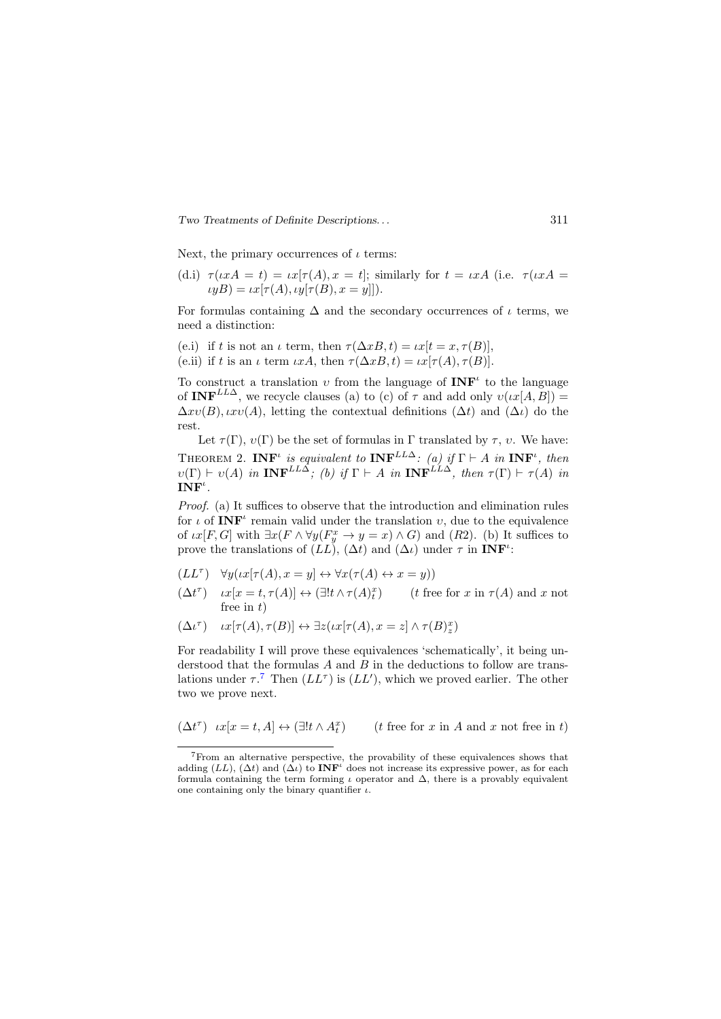Next, the primary occurrences of  $\iota$  terms:

(d.i) 
$$
\tau(\iota xA = t) = \iota x[\tau(A), x = t];
$$
 similarly for  $t = \iota xA$  (i.e.  $\tau(\iota xA = \iota yB) = \iota x[\tau(A), \iota y[\tau(B), x = y]]$ ).

For formulas containing  $\Delta$  and the secondary occurrences of  $\iota$  terms, we need a distinction:

(e.i) if t is not an  $\iota$  term, then  $\tau(\Delta x B, t) = \iota x[t = x, \tau(B)].$ (e.ii) if t is an  $\iota$  term  $\iota xA$ , then  $\tau(\Delta xB, t) = \iota x[\tau(A), \tau(B)].$ 

To construct a translation v from the language of  $\text{INF}^{\iota}$  to the language of INF<sup>LL</sup><sup>2</sup>, we recycle clauses (a) to (c) of  $\tau$  and add only  $v(\iota x[A, B]) =$  $\Delta xv(B), uv(A)$ , letting the contextual definitions  $(\Delta t)$  and  $(\Delta t)$  do the rest.

Let  $\tau(\Gamma)$ ,  $v(\Gamma)$  be the set of formulas in  $\Gamma$  translated by  $\tau$ ,  $v$ . We have: THEOREM 2. INF' is equivalent to INF<sup>LL $\Delta$ </sup>: (a) if  $\Gamma \vdash A$  in INF', then  $v(\Gamma) \vdash v(A)$  in  $\text{INF}^{LL\Delta}$ ; (b) if  $\Gamma \vdash A$  in  $\text{INF}^{LL\Delta}$ , then  $\tau(\Gamma) \vdash \tau(A)$  in  $\mathbf{INF}^{\iota}$  .

Proof. (a) It suffices to observe that the introduction and elimination rules for  $\iota$  of  $\mathbf{INF}^{\iota}$  remain valid under the translation  $v$ , due to the equivalence of  $\iota x[F,G]$  with  $\exists x(F \wedge \forall y(F_y^x \to y = x) \wedge G)$  and  $(R2)$ . (b) It suffices to prove the translations of  $(L\vec{L})$ ,  $(\Delta t)$  and  $(\Delta \iota)$  under  $\tau$  in **INF'**:

$$
(LL^{\tau}) \quad \forall y ( \iota x [\tau(A), x = y] \leftrightarrow \forall x (\tau(A) \leftrightarrow x = y))
$$

 $(\Delta t^{\tau})$   $\iota x[x = t, \tau(A)] \leftrightarrow (\exists! t \wedge \tau(A)^{x}_{t})$  (*t* free for *x* in  $\tau(A)$  and *x* not free in  $t$ )

$$
(\Delta \iota^\tau) \quad \iota x[\tau(A), \tau(B)] \leftrightarrow \exists z(\iota x[\tau(A), x = z] \land \tau(B)_{z}^{x})
$$

For readability I will prove these equivalences 'schematically', it being understood that the formulas  $A$  and  $B$  in the deductions to follow are translations under  $\tau$ .<sup>[7](#page-12-0)</sup> Then  $(L\mathcal{L}^{\tau})$  is  $(L\mathcal{L}')$ , which we proved earlier. The other two we prove next.

$$
(\Delta t^\tau) \ \ \iota x[x=t,A] \leftrightarrow (\exists! t \wedge A^x_t) \qquad (t \text{ free for $x$ in $A$ and $x$ not free in $t$})
$$

<span id="page-12-0"></span><sup>7</sup>From an alternative perspective, the provability of these equivalences shows that adding (LL), ( $\Delta t$ ) and ( $\Delta t$ ) to **INF**<sup>*i*</sup> does not increase its expressive power, as for each formula containing the term forming  $\iota$  operator and  $\Delta$ , there is a provably equivalent one containing only the binary quantifier  $\iota$ .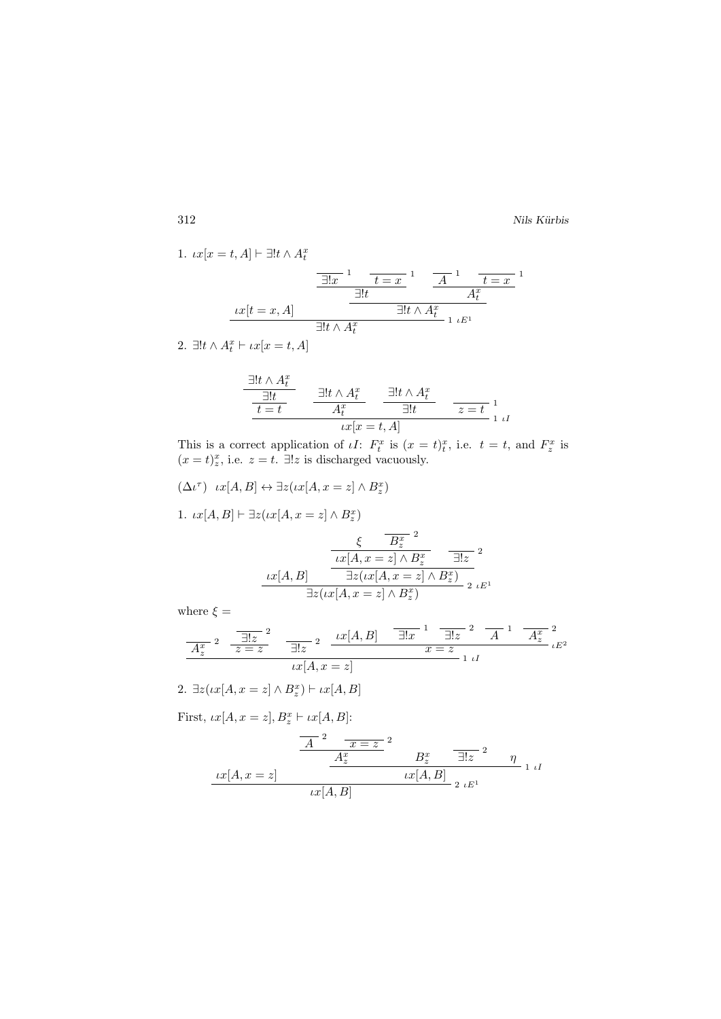1. 
$$
tx[x = t, A] \vdash \exists! t \land A_t^x
$$
  
\n
$$
\frac{\exists! x \quad 1 \quad \frac{t = x}{1!t}}{\exists! t \land A_t^x}
$$
\n
$$
\frac{tx[t = x, A]}{\exists! t \land A_t^x}
$$
\n
$$
\frac{\exists! t \land A_t^x}{1 \quad \frac{t = x}{1 \quad \frac{t}{1}}}
$$

2.  $\exists !t \wedge A_t^x \vdash \iota x[x = t, A]$ 

$$
\frac{\exists! t \land A_t^x}{\frac{\exists! t}{t=t}} \quad \frac{\exists! t \land A_t^x}{A_t^x} \quad \frac{\exists! t \land A_t^x}{\exists! t} \quad \frac{}{z=t}^1}{\underset{tx[x=t, A]}{x[t=t, A]}} \quad
$$

This is a correct application of  $\iota I$ :  $F_t^x$  is  $(x = t)^x_t$ , i.e.  $t = t$ , and  $F_z^x$  is  $(x=t)_z^x$ , i.e.  $z=t$ .  $\exists!z$  is discharged vacuously.

 $(\Delta \iota^\tau) \quad \iota x [A, B] \leftrightarrow \exists z (\iota x [A, x=z] \wedge B_z^x)$ 

1.  $\iota x[A, B] \vdash \exists z (\iota x[A, x = z] \land B_z^x)$ 

ιx[A, B] ξ 2 B<sup>x</sup> z ιx[A, x = z] ∧ B<sup>x</sup> z 2 ∃!z ∃z(ιx[A, x = z] ∧ B<sup>x</sup> z ) 2 ιE<sup>1</sup> ∃z(ιx[A, x = z] ∧ B<sup>x</sup> z )

where  $\xi =$ 

$$
\frac{\overline{A_z^x}^2 - \overline{\exists!z}^2}{x = z} \quad \frac{1}{\exists!z}^2 \quad \frac{tx[A,B]}{x = z} \quad \frac{\overline{\exists!x}^1 - \overline{\exists!z}^2 - \overline{A}^1 - \overline{A_z^x}^2}{x = z} \cdot \overline{E^2}
$$
\n
$$
tx[A, x = z]
$$

2. 
$$
\exists z (\iota x[A, x = z] \wedge B_z^x) \vdash \iota x[A, B]
$$

First,  $\iota x[A, x = z], B_z^x \vdash \iota x[A, B]$ :

$$
\frac{A^2 \frac{x}{x+z^2}^2}{\frac{A_z^x}{\frac{B_z^x}{\frac{B_z^x}{\frac{B_z^x}{\frac{B_z^x}{\frac{B_z^x}{\frac{B_z^x}{\frac{B_z^x}{\frac{B_z^x}{\frac{B_z^x}{\frac{B_z^x}{\frac{B_z^x}{\frac{B_z^x}{\frac{B_z^x}{\frac{B_z^x}{\frac{B_z^x}{\frac{B_z^x}{\frac{B_z^x}{\frac{B_z^x}{\frac{B_z^x}{\frac{B_z^x}{\frac{B_z^x}{\frac{B_z^x}{\frac{B_z^x}{\frac{B_z^x}{\frac{B_z^x}{\frac{B_z^x}{\frac{B_z^x}{\frac{B_z^x}{\frac{B_z^x}{\frac{B_z^x}{\frac{B_z^x}{\frac{B_z^x}{\frac{B_z^x}{\frac{B_z^x}{\frac{B_z^x}{\frac{B_z^x}{\frac{B_z^x}{\frac{B_z^x}{\frac{B_z^x}{\frac{B_z^x}{\frac{B_z^x}{\frac{B_z^x}{\frac{B_z^x}{\frac{B_z^x}{\frac{B_z^x}{\frac{B_z^x}{\frac{B_z^x}{\frac{B_z^x}{\frac{B_z^x}{\frac{B_z^x}{\frac{B_z^x}{\frac{B_z^x}{\frac{B_z^x}{\frac{B_z^x}{\frac{B_z^x}{\frac{B_z^x}{\frac{B_z^x}{\frac{B_z^x}{\frac{B_z^x}{\frac{B_z^x}{\frac{B_z^x}{\frac{B_z^x}{\frac{B_z^x}{\frac{B_z^x}{\frac{B_z^x}{\frac{B_z^x}{\frac{B_z^x}{\frac{B_z^x}{\frac{B_z^x}{\frac{B_z^x}{\frac{B_z^x}{\frac{B_z^x}{\frac{B_z^x}{\frac{B_z^x}{\frac{B_z^x}{\frac{B_z^x}{\frac{B_z^x}{\frac{B_z^x}{\frac{B_z}{\frac{B_z}{\frac{B_z}{\frac{A_z}{\frac{m}}{x\frac{A_z}{\frac{m}}{x\frac{A_z}{\frac{m}}{x\frac{A_z}{\frac{m}}{ \frac{A_z}{\frac{m}}{x\frac{m}}{2\frac{m}}{2\frac{m}}{2\frac{m}}{2
$$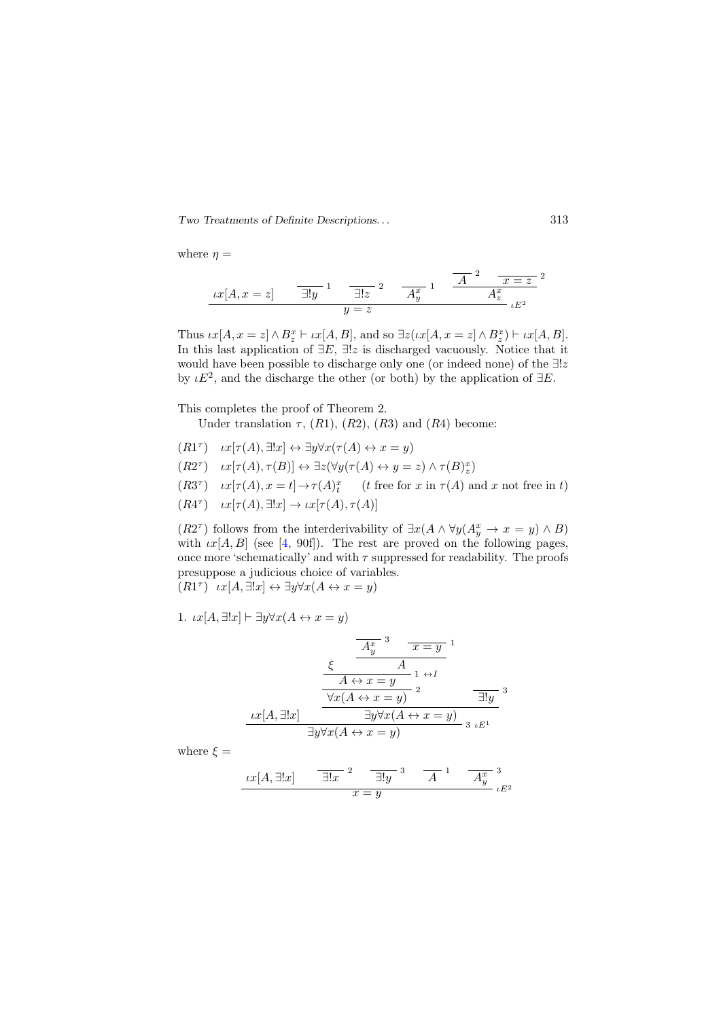where  $\eta =$ 

$$
ix[A, x = z] \qquad \overline{\exists!y} \quad \frac{1}{\exists!z} \quad \frac{1}{z} \quad \frac{1}{x} \quad \frac{1}{x} \quad \frac{1}{x} \quad \frac{1}{x} \quad \frac{1}{x} \quad \frac{1}{x} \quad \frac{1}{x} \quad \frac{1}{x} \quad \frac{1}{x} \quad \frac{1}{x} \quad \frac{1}{x} \quad \frac{1}{x} \quad \frac{1}{x} \quad \frac{1}{x} \quad \frac{1}{x} \quad \frac{1}{x} \quad \frac{1}{x} \quad \frac{1}{x} \quad \frac{1}{x} \quad \frac{1}{x} \quad \frac{1}{x} \quad \frac{1}{x} \quad \frac{1}{x} \quad \frac{1}{x} \quad \frac{1}{x} \quad \frac{1}{x} \quad \frac{1}{x} \quad \frac{1}{x} \quad \frac{1}{x} \quad \frac{1}{x} \quad \frac{1}{x} \quad \frac{1}{x} \quad \frac{1}{x} \quad \frac{1}{x} \quad \frac{1}{x} \quad \frac{1}{x} \quad \frac{1}{x} \quad \frac{1}{x} \quad \frac{1}{x} \quad \frac{1}{x} \quad \frac{1}{x} \quad \frac{1}{x} \quad \frac{1}{x} \quad \frac{1}{x} \quad \frac{1}{x} \quad \frac{1}{x} \quad \frac{1}{x} \quad \frac{1}{x} \quad \frac{1}{x} \quad \frac{1}{x} \quad \frac{1}{x} \quad \frac{1}{x} \quad \frac{1}{x} \quad \frac{1}{x} \quad \frac{1}{x} \quad \frac{1}{x} \quad \frac{1}{x} \quad \frac{1}{x} \quad \frac{1}{x} \quad \frac{1}{x} \quad \frac{1}{x} \quad \frac{1}{x} \quad \frac{1}{x} \quad \frac{1}{x} \quad \frac{1}{x} \quad \frac{1}{x} \quad \frac{1}{x} \quad \frac{1}{x} \quad \frac{1}{x} \quad \frac{1}{x} \quad \frac{1}{x} \quad \frac{1}{x} \quad \frac{1}{x} \quad \frac{1}{x} \quad \frac{1}{x} \quad \frac{1}{x} \quad \frac{1}{x} \quad \frac{1}{x} \quad \frac{1}{x} \quad \frac{1}{x}
$$

Thus  $\iota x[A, x = z] \wedge B_z^x \vdash \iota x[A, B]$ , and so  $\exists z(\iota x[A, x = z] \wedge B_z^x) \vdash \iota x[A, B]$ . In this last application of  $\exists E, \exists ! z$  is discharged vacuously. Notice that it would have been possible to discharge only one (or indeed none) of the  $\exists ! z$ by  $\iota E^2$ , and the discharge the other (or both) by the application of  $\exists E$ .

This completes the proof of Theorem 2.

Under translation  $\tau$ ,  $(R1)$ ,  $(R2)$ ,  $(R3)$  and  $(R4)$  become:

 $(R1^{\tau}) \quad \iota x[\tau(A), \exists ! x] \leftrightarrow \exists y \forall x(\tau(A) \leftrightarrow x = y)$ 

 $(R2^{\tau}) \quad \iota x[\tau(A), \tau(B)] \leftrightarrow \exists z (\forall y (\tau(A) \leftrightarrow y = z) \land \tau(B)_{z}^{x})$ 

 $(R3^{\tau})$   $\iota x[\tau(A), x = t] \rightarrow \tau(A)_{t}^{x}$  (*t* free for *x* in  $\tau(A)$  and *x* not free in *t*)

 $(R4^{\tau}) \quad \iota x[\tau(A), \exists ! x] \rightarrow \iota x[\tau(A), \tau(A)]$ 

 $(R2^{\tau})$  follows from the interderivability of  $\exists x (A \wedge \forall y (A_y^x \rightarrow x = y) \wedge B)$ with  $\iota x[A, B]$  (see [\[4,](#page-18-1) 90f]). The rest are proved on the following pages, once more 'schematically' and with  $\tau$  suppressed for readability. The proofs presuppose a judicious choice of variables.  $(R1^{\tau})$   $\iota x[A, \exists !x] \leftrightarrow \exists y \forall x(A \leftrightarrow x = y)$ 

1.  $\iota x[A, \exists !x] \vdash \exists y \forall x(A \leftrightarrow x = y)$ 

$$
\frac{\frac{A_y^{x-3}}{A_y} - \frac{x - y}{x - y}}{x}
$$
\n
$$
\frac{A \leftrightarrow x = y}{\frac{A \leftrightarrow x = y}{\frac{\forall x (A \leftrightarrow x = y)}{x}}}
$$
\n
$$
\frac{Lx[A, \exists !x]}{\exists y \forall x (A \leftrightarrow x = y)}
$$
\n
$$
\frac{1}{\exists y \forall x (A \leftrightarrow x = y)}} \xrightarrow{a \quad Lx}
$$

where  $\xi =$ 

$$
\frac{\iota x[A, \exists! x] \qquad \overline{\exists! x}^2 \qquad \overline{\exists! y}^3 \qquad A^{-1} \qquad A^x}{x = y}^3 \iota E^2
$$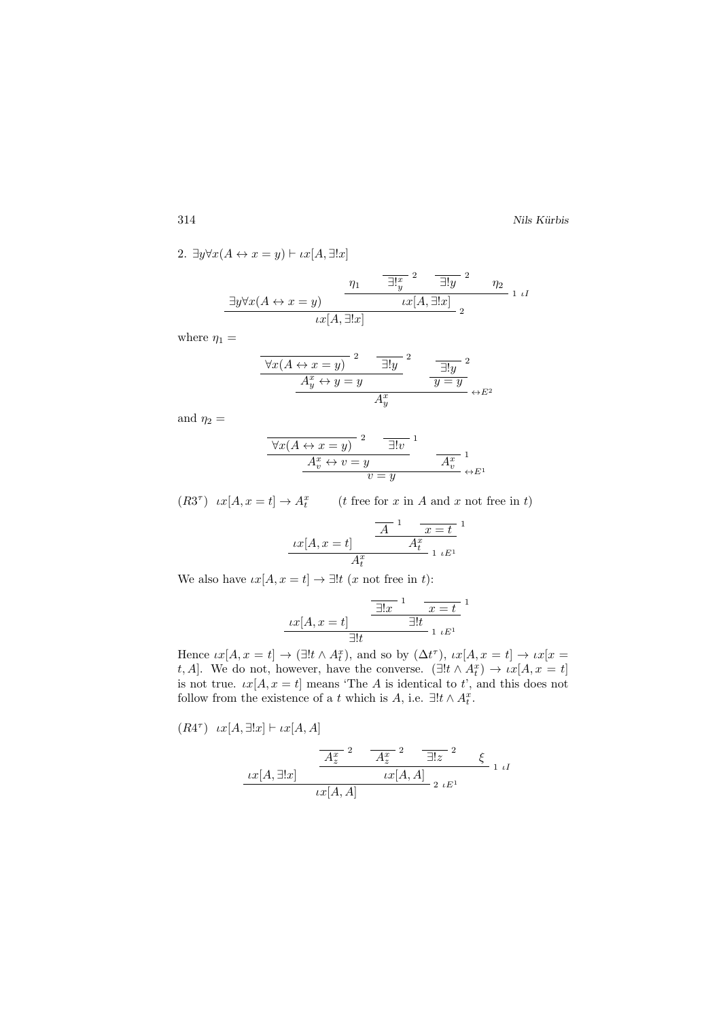2. 
$$
\exists y \forall x (A \leftrightarrow x = y) \vdash \iota x [A, \exists !x]
$$
  

$$
\frac{\eta_1}{\exists ! \, y} \quad \frac{\neg \exists ! \, y} \quad \frac{1}{\exists ! \, y} \quad \eta_2}{\iota x [A, \exists !x]} \quad \frac{\eta_1}{\iota x [A, \exists !x]} \quad \frac{\neg \exists ! \, y} \quad \frac{\eta_2}{\iota x [A, \exists !x]} \quad \frac{\eta_1}{\iota x [A, \exists !x]} \quad \frac{\eta_2}{\iota x [A, \exists !x]} \quad \frac{\eta_2}{\iota x [A, \exists !x]} \quad \frac{\eta_2}{\iota x [A, \exists !x]} \quad \frac{\eta_2}{\iota x [A, \exists !x]} \quad \frac{\eta_2}{\iota x [A, \exists !x]} \quad \frac{\eta_2}{\iota x [A, \exists !x]} \quad \frac{\eta_2}{\iota x [A, \exists !x]} \quad \frac{\eta_2}{\iota x [A, \exists !x]} \quad \frac{\eta_2}{\iota x [A, \exists !x]} \quad \frac{\eta_2}{\iota x [A, \exists !x]} \quad \frac{\eta_2}{\iota x [A, \exists !x]} \quad \frac{\eta_2}{\iota x [A, \exists !x]} \quad \frac{\eta_2}{\iota x [A, \exists !x]} \quad \frac{\eta_2}{\iota x [A, \exists !x]} \quad \frac{\eta_2}{\iota x [A, \exists !x]} \quad \frac{\eta_2}{\iota x [A, \exists !x]} \quad \frac{\eta_2}{\iota x [A, \exists !x]} \quad \frac{\eta_2}{\iota x [A, \exists !x]} \quad \frac{\eta_2}{\iota x [A, \exists !x]} \quad \frac{\eta_2}{\iota x [A, \exists !x]} \quad \frac{\eta_2}{\iota x [A, \exists !x]} \quad \frac{\eta_2}{\iota x [A, \exists !x]} \quad \frac{\eta_2}{\iota x [A, \exists !x]} \quad \frac{\eta_2}{\iota x [A, \exists !x]} \quad \frac{\eta_2}{\iota x [A, \exists !x]} \quad \frac{\eta_2}{\iota x [A, \exists !x]} \quad \frac{\eta_2}{\iota x [A, \exists !x]} \quad \frac{\eta_2}{\iota x [A, \exists !x]}
$$

where  $\eta_1 =$ 

$$
\frac{\forall x (A \leftrightarrow x = y)}{A_y^x \leftrightarrow y = y}^2 \qquad \frac{\exists! y \quad ^2}{y = y}^2
$$
\n
$$
\frac{A_y^x \leftrightarrow y = y}{A_y^x} \leftrightarrow E^2
$$

and  $\eta_2 =$ 

$$
\frac{\forall x (A \leftrightarrow x = y)}{A_v^x \leftrightarrow v = y} \qquad \frac{\exists! v \quad 1}{A_v^x} \qquad \qquad \frac{A_v^x}{v = y} \leftrightarrow E^1
$$

 $(R3^{\tau})$   $\iota x[A, x = t] \rightarrow A_t^x$  (*t* free for *x* in *A* and *x* not free in *t*)

$$
\frac{1}{x}[A, x=t] \frac{A}{A_t^x} \frac{x=t}{1 \cdot E^1}
$$

We also have  $\iota x[A, x = t] \to \exists! t \ (x \text{ not free in } t)$ :

$$
\underbrace{xx[A, x=t]}_{\exists!t} \quad \frac{\boxed{\exists!x}^{1} \quad x=t}{\exists!t}^{1}
$$

Hence  $\iota x[A, x = t] \to (\exists! t \wedge A_t^x)$ , and so by  $(\Delta t^{\tau})$ ,  $\iota x[A, x = t] \to \iota x[x = t]$ t, A]. We do not, however, have the converse.  $(\exists ! t \land A_t^x) \rightarrow \iota x[A, x = t]$ is not true.  $\iota x[A, x = t]$  means 'The A is identical to t', and this does not follow from the existence of a t which is  $A$ , i.e.  $\exists !t \wedge A_t^x$ .

$$
(R4^{\tau}) \quad \iota x[A, \exists !x] \vdash \iota x[A, A]
$$
\n
$$
\frac{A_z^{x}}{2} \quad \frac{A_z^{x}}{2} \quad \frac{2}{\exists !z} \quad \xi
$$
\n
$$
\frac{\iota x[A, \exists !x]}{\iota x[A, A]} \quad \frac{\iota x[A, A]}{2 \, \iota E^1} \quad 1 \, \iota I
$$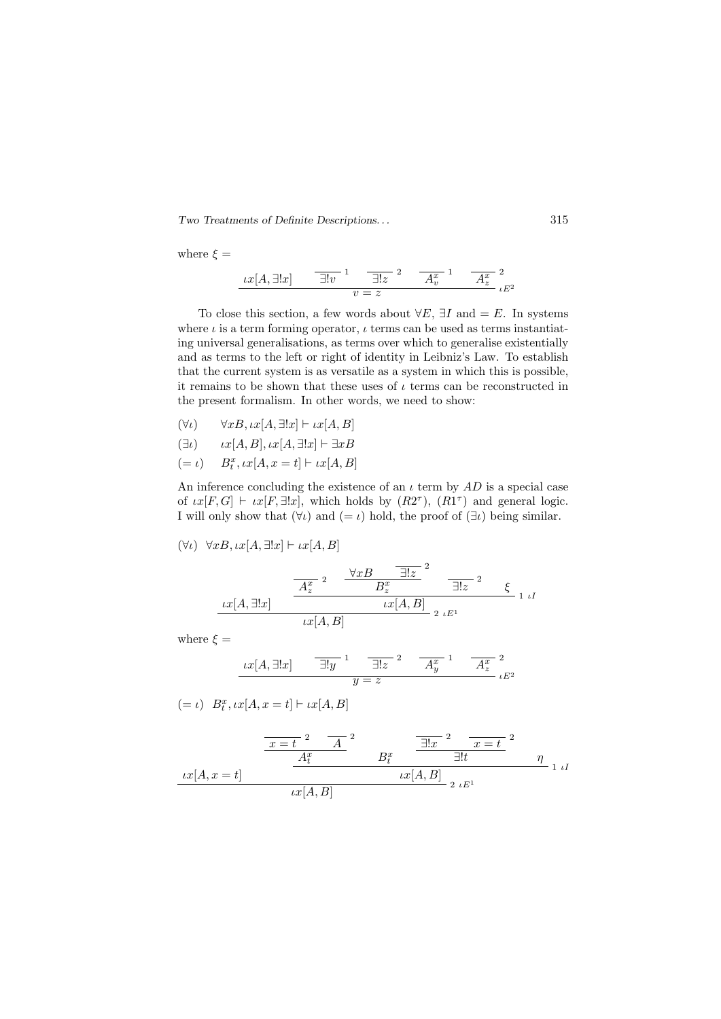Two Treatments of Definite Descriptions. . . 315

where  $\xi =$ 

$$
\underbrace{tx[A,\exists!x] \qquad \overline{\exists!v}^{1} \qquad \overline{\exists!z}^{2} \qquad \overline{A_v^{x}}^{1} \qquad \overline{A_z^{x}}^{2}}_{\iota E^{2}}
$$

To close this section, a few words about  $\forall E$ ,  $\exists I$  and  $=E$ . In systems where  $\iota$  is a term forming operator,  $\iota$  terms can be used as terms instantiating universal generalisations, as terms over which to generalise existentially and as terms to the left or right of identity in Leibniz's Law. To establish that the current system is as versatile as a system in which this is possible, it remains to be shown that these uses of  $\iota$  terms can be reconstructed in the present formalism. In other words, we need to show:

 $(\forall \iota) \qquad \forall x B, \iota x[A, \exists ! x] \vdash \iota x[A, B]$ 

$$
(\exists \iota) \qquad \iota x[A, B], \iota x[A, \exists! x] \vdash \exists x B
$$

$$
(= \iota) \qquad B_t^x, \iota x[A, x=t] \vdash \iota x[A,B]
$$

An inference concluding the existence of an  $\iota$  term by AD is a special case of  $\iota x[F,G] \vdash \iota x[F,\exists !x],$  which holds by  $(R2^{\tau}), (R1^{\tau})$  and general logic. I will only show that  $(\forall \iota)$  and  $(=\iota)$  hold, the proof of  $(\exists \iota)$  being similar.

$$
(\forall \iota) \ \forall x B, \iota x [A, \exists ! x] \vdash \iota x [A, B]
$$

$$
\frac{1}{x[A, \exists !x]} \frac{\frac{A_z^{x-2}}{A_z^{x}} \frac{\forall x B}{B_z^{x}} \frac{\exists !z}{\exists !z}^{2}}{\frac{1}{x[A, B]}} \frac{1}{2} \lim_{t \to t} 1
$$

where  $\xi =$ 

$$
\underbrace{xx[A,\exists!x] \qquad \overline{\exists!y}^{1} \quad \overline{\exists!z}^{2} \quad A_y^{x-1} \quad A_z^{x-2}}_{y=z \quad \iota E^2}
$$

 $(= \iota) \quad B_t^x, \iota x[A, x = t] \vdash \iota x[A, B]$ 

$$
\frac{x=t^2}{A_t^x} \frac{A}{B_t^x} \frac{\frac{1}{\exists!x}^2 \frac{1}{x=t^2}}{\frac{1}{\exists!t}^x \frac{1}{\exists!t}} \frac{1}{\eta}
$$
  

$$
tx[A,B] \frac{tx[A,B]}{x[B,B]} z E^1}
$$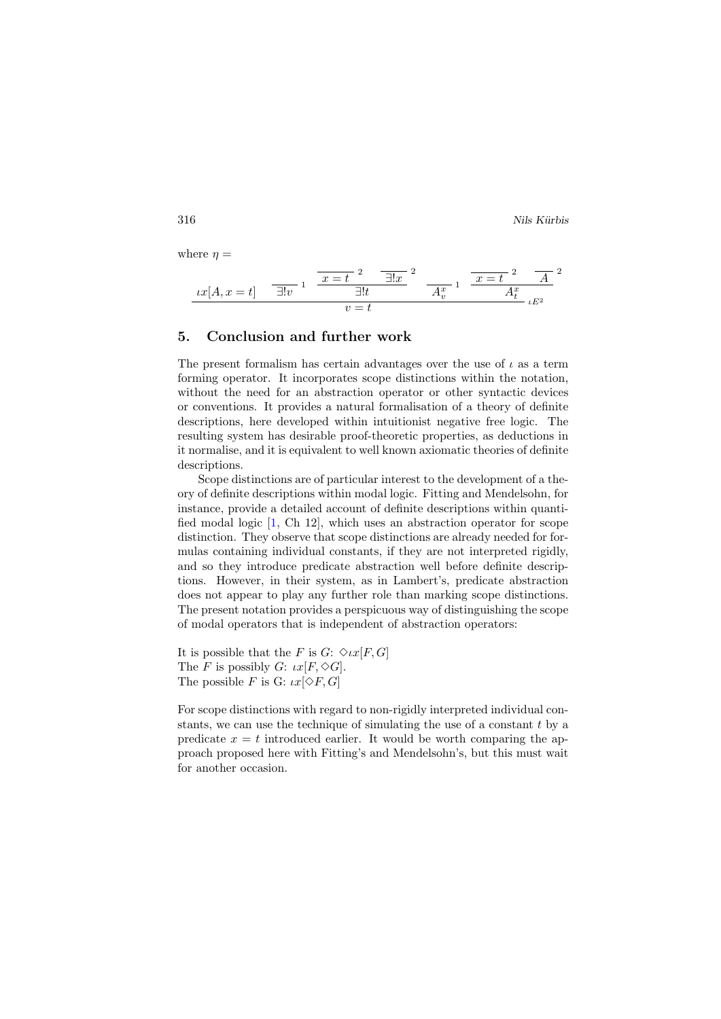where  $\eta =$ 

$$
\underbrace{tx[A, x=t]}_{U} \quad \overline{\exists!v}^{1} \quad \overline{\underbrace{x=t}^{2} \quad \overline{\exists!x}^{2}}_{U=t} \quad \overline{A_v^{x}}^{1} \quad \overline{\underbrace{x=t}^{2} \quad A}^{2}}_{U=t} \quad \overline{A_v^{x}}
$$

#### 5. Conclusion and further work

The present formalism has certain advantages over the use of  $\iota$  as a term forming operator. It incorporates scope distinctions within the notation, without the need for an abstraction operator or other syntactic devices or conventions. It provides a natural formalisation of a theory of definite descriptions, here developed within intuitionist negative free logic. The resulting system has desirable proof-theoretic properties, as deductions in it normalise, and it is equivalent to well known axiomatic theories of definite descriptions.

Scope distinctions are of particular interest to the development of a theory of definite descriptions within modal logic. Fitting and Mendelsohn, for instance, provide a detailed account of definite descriptions within quantified modal logic [\[1,](#page-18-8) Ch 12], which uses an abstraction operator for scope distinction. They observe that scope distinctions are already needed for formulas containing individual constants, if they are not interpreted rigidly, and so they introduce predicate abstraction well before definite descriptions. However, in their system, as in Lambert's, predicate abstraction does not appear to play any further role than marking scope distinctions. The present notation provides a perspicuous way of distinguishing the scope of modal operators that is independent of abstraction operators:

It is possible that the F is  $G: \Diamond \iota x[F, G]$ The F is possibly G:  $\iota x[F, \diamondsuit G]$ . The possible F is G:  $\iota x[\diamond F,G]$ 

For scope distinctions with regard to non-rigidly interpreted individual constants, we can use the technique of simulating the use of a constant  $t$  by a predicate  $x = t$  introduced earlier. It would be worth comparing the approach proposed here with Fitting's and Mendelsohn's, but this must wait for another occasion.